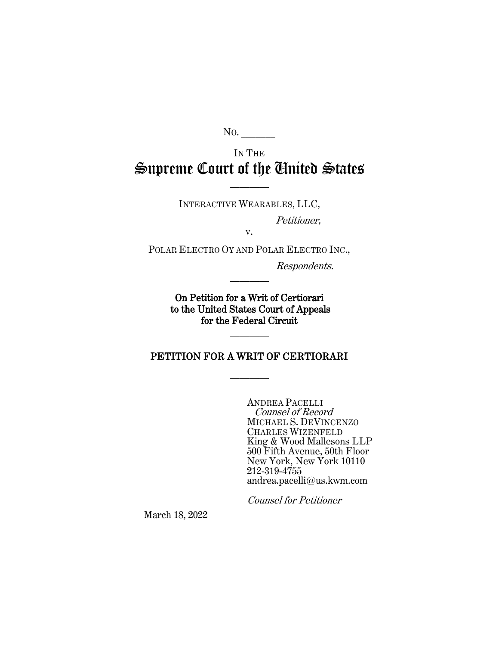No.

# IN THE Supreme Court of the United States

INTERACTIVE WEARABLES, LLC,

————

Petitioner,

POLAR ELECTRO OY AND POLAR ELECTRO INC.,

v.

Respondents.

On Petition for a Writ of Certiorari to the United States Court of Appeals for the Federal Circuit

————

————

PETITION FOR A WRIT OF CERTIORARI

————

ANDREA PACELLI Counsel of Record MICHAEL S. DEVINCENZO CHARLES WIZENFELD King & Wood Mallesons LLP 500 Fifth Avenue, 50th Floor New York, New York 10110 212-319-4755 andrea.pacelli@us.kwm.com

Counsel for Petitioner

March 18, 2022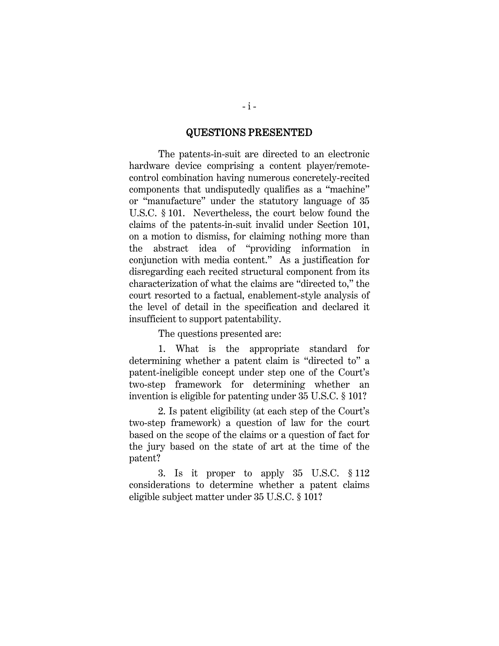#### QUESTIONS PRESENTED

<span id="page-1-0"></span>The patents-in-suit are directed to an electronic hardware device comprising a content player/remotecontrol combination having numerous concretely-recited components that undisputedly qualifies as a "machine" or "manufacture" under the statutory language of 35 U.S.C. § 101. Nevertheless, the court below found the claims of the patents-in-suit invalid under Section 101, on a motion to dismiss, for claiming nothing more than the abstract idea of "providing information in conjunction with media content." As a justification for disregarding each recited structural component from its characterization of what the claims are "directed to," the court resorted to a factual, enablement-style analysis of the level of detail in the specification and declared it insufficient to support patentability.

The questions presented are:

1. What is the appropriate standard for determining whether a patent claim is "directed to" a patent-ineligible concept under step one of the Court's two-step framework for determining whether an invention is eligible for patenting under 35 U.S.C. § 101?

2. Is patent eligibility (at each step of the Court's two-step framework) a question of law for the court based on the scope of the claims or a question of fact for the jury based on the state of art at the time of the patent?

3. Is it proper to apply 35 U.S.C. § 112 considerations to determine whether a patent claims eligible subject matter under 35 U.S.C. § 101?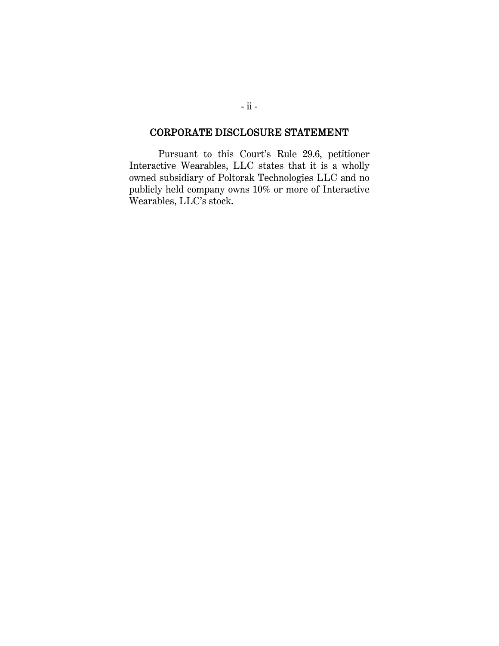# <span id="page-2-0"></span>CORPORATE DISCLOSURE STATEMENT

Pursuant to this Court's Rule 29.6, petitioner Interactive Wearables, LLC states that it is a wholly owned subsidiary of Poltorak Technologies LLC and no publicly held company owns 10% or more of Interactive Wearables, LLC's stock.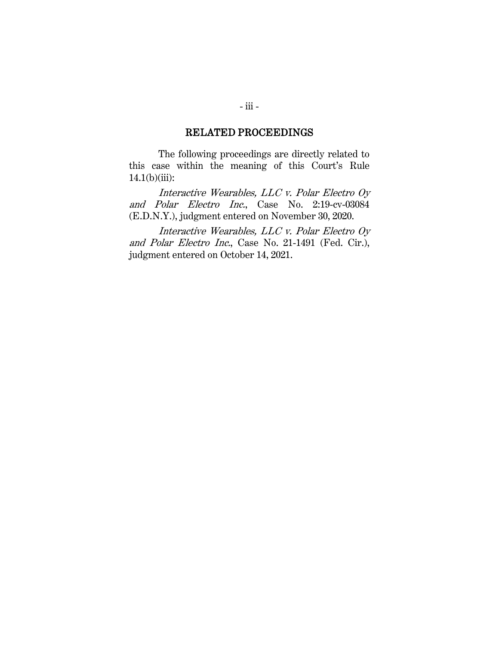#### RELATED PROCEEDINGS

<span id="page-3-0"></span>The following proceedings are directly related to this case within the meaning of this Court's Rule  $14.1(b)(iii):$ 

Interactive Wearables, LLC v. Polar Electro Oy and Polar Electro Inc., Case No. 2:19-cv-03084 (E.D.N.Y.), judgment entered on November 30, 2020.

Interactive Wearables, LLC v. Polar Electro Oy and Polar Electro Inc., Case No. 21-1491 (Fed. Cir.), judgment entered on October 14, 2021.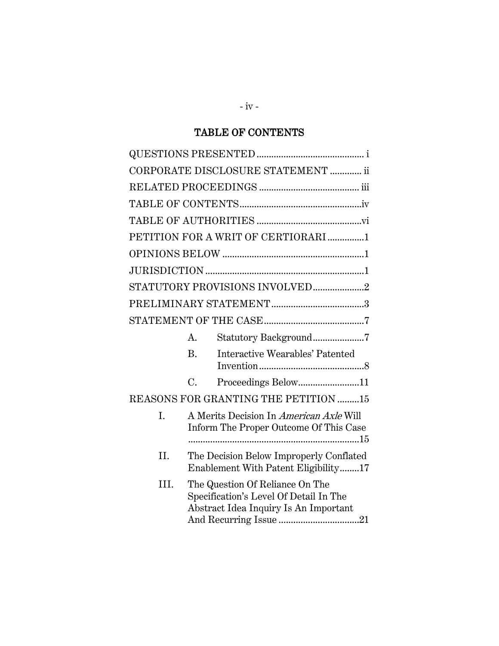# TABLE OF CONTENTS

<span id="page-4-0"></span>

|      |                | CORPORATE DISCLOSURE STATEMENT  ii                                                                                 |  |
|------|----------------|--------------------------------------------------------------------------------------------------------------------|--|
|      |                |                                                                                                                    |  |
|      |                |                                                                                                                    |  |
|      |                |                                                                                                                    |  |
|      |                | PETITION FOR A WRIT OF CERTIORARI 1                                                                                |  |
|      |                |                                                                                                                    |  |
|      |                |                                                                                                                    |  |
|      |                | STATUTORY PROVISIONS INVOLVED2                                                                                     |  |
|      |                |                                                                                                                    |  |
|      |                |                                                                                                                    |  |
|      | A.             | Statutory Background7                                                                                              |  |
|      | $\mathbf{B}$ . | Interactive Wearables' Patented                                                                                    |  |
|      | $C_{\cdot}$    | Proceedings Below11                                                                                                |  |
|      |                | REASONS FOR GRANTING THE PETITION 15                                                                               |  |
| I.   |                | A Merits Decision In <i>American Axle</i> Will<br>Inform The Proper Outcome Of This Case                           |  |
| II.  |                | The Decision Below Improperly Conflated<br>Enablement With Patent Eligibility17                                    |  |
| III. |                | The Question Of Reliance On The<br>Specification's Level Of Detail In The<br>Abstract Idea Inquiry Is An Important |  |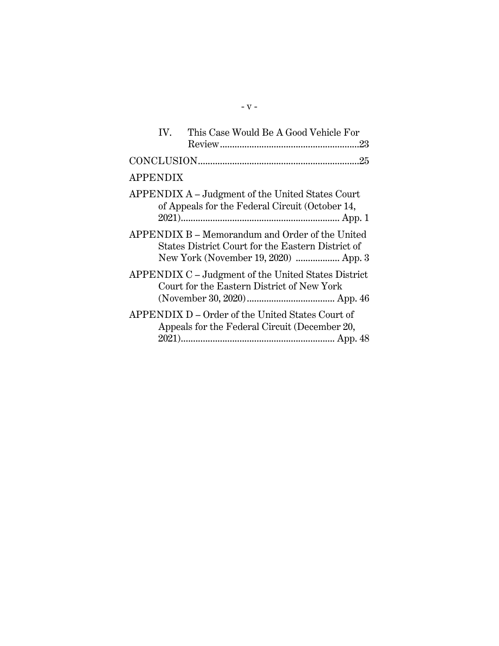| IV.             | This Case Would Be A Good Vehicle For                                                                                                        |  |
|-----------------|----------------------------------------------------------------------------------------------------------------------------------------------|--|
|                 |                                                                                                                                              |  |
| <b>APPENDIX</b> |                                                                                                                                              |  |
|                 | APPENDIX A – Judgment of the United States Court<br>of Appeals for the Federal Circuit (October 14,                                          |  |
|                 | APPENDIX B – Memorandum and Order of the United<br>States District Court for the Eastern District of<br>New York (November 19, 2020)  App. 3 |  |
|                 | APPENDIX C - Judgment of the United States District<br>Court for the Eastern District of New York                                            |  |
|                 | APPENDIX D – Order of the United States Court of<br>Appeals for the Federal Circuit (December 20,                                            |  |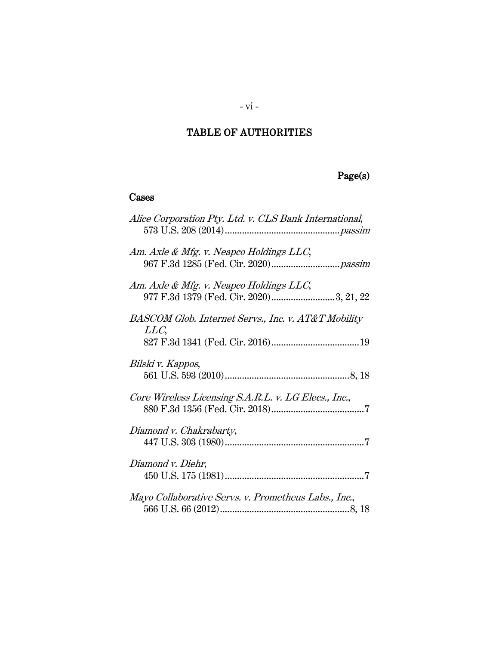# <span id="page-6-0"></span>TABLE OF AUTHORITIES

# Page(s)

# Cases

| Alice Corporation Pty. Ltd. v. CLS Bank International,                             |
|------------------------------------------------------------------------------------|
| Am. Axle & Mfg. v. Neapco Holdings LLC,                                            |
| Am. Axle & Mfg. v. Neapco Holdings LLC,<br>977 F.3d 1379 (Fed. Cir. 2020)3, 21, 22 |
| BASCOM Glob. Internet Servs., Inc. v. AT&T Mobility<br>LLC,                        |
| Bilski v. Kappos,                                                                  |
| Core Wireless Licensing S.A.R.L. v. LG Elecs., Inc.,                               |
| Diamond v. Chakrabarty,                                                            |
| Diamond v. Diehr,                                                                  |
| Mayo Collaborative Servs. v. Prometheus Labs., Inc.,                               |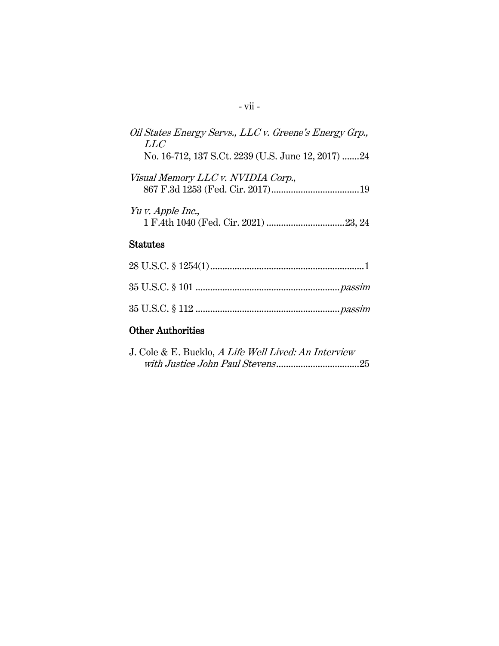| Oil States Energy Servs., LLC v. Greene's Energy Grp.,<br>LLC |
|---------------------------------------------------------------|
| No. 16-712, 137 S.Ct. 2239 (U.S. June 12, 2017) 24            |
| Visual Memory LLC v. NVIDIA Corp.,                            |
| Yu v. Apple Inc.,                                             |
| <b>Statutes</b>                                               |
| $00$ TI $\alpha \alpha$ $\beta$ 10 $\alpha$ $(1)$             |

# Other Authorities

| J. Cole & E. Bucklo, A Life Well Lived: An Interview |  |
|------------------------------------------------------|--|
|                                                      |  |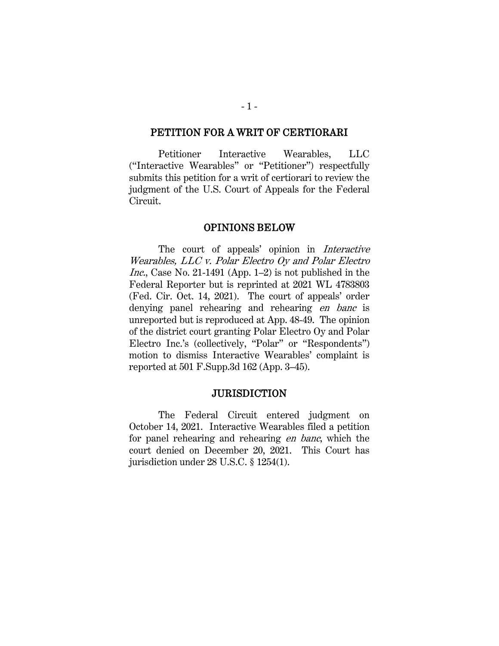#### <span id="page-8-0"></span>PETITION FOR A WRIT OF CERTIORARI

Petitioner Interactive Wearables, LLC ("Interactive Wearables" or "Petitioner") respectfully submits this petition for a writ of certiorari to review the judgment of the U.S. Court of Appeals for the Federal Circuit.

#### OPINIONS BELOW

<span id="page-8-1"></span>The court of appeals' opinion in Interactive Wearables, LLC v. Polar Electro Oy and Polar Electro Inc., Case No. 21-1491 (App. 1–2) is not published in the Federal Reporter but is reprinted at 2021 WL 4783803 (Fed. Cir. Oct. 14, 2021). The court of appeals' order denying panel rehearing and rehearing en banc is unreported but is reproduced at App. 48-49. The opinion of the district court granting Polar Electro Oy and Polar Electro Inc.'s (collectively, "Polar" or "Respondents") motion to dismiss Interactive Wearables' complaint is reported at 501 F.Supp.3d 162 (App. 3–45).

#### <span id="page-8-3"></span>**JURISDICTION**

<span id="page-8-2"></span>The Federal Circuit entered judgment on October 14, 2021. Interactive Wearables filed a petition for panel rehearing and rehearing en banc, which the court denied on December 20, 2021. This Court has jurisdiction under 28 U.S.C. § 1254(1).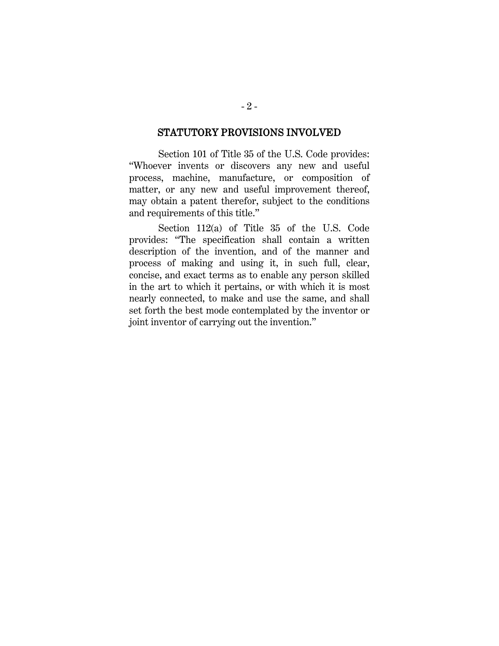#### STATUTORY PROVISIONS INVOLVED

<span id="page-9-0"></span>Section 101 of Title 35 of the U.S. Code provides: "Whoever invents or discovers any new and useful process, machine, manufacture, or composition of matter, or any new and useful improvement thereof, may obtain a patent therefor, subject to the conditions and requirements of this title."

Section 112(a) of Title 35 of the U.S. Code provides: "The specification shall contain a written description of the invention, and of the manner and process of making and using it, in such full, clear, concise, and exact terms as to enable any person skilled in the art to which it pertains, or with which it is most nearly connected, to make and use the same, and shall set forth the best mode contemplated by the inventor or joint inventor of carrying out the invention."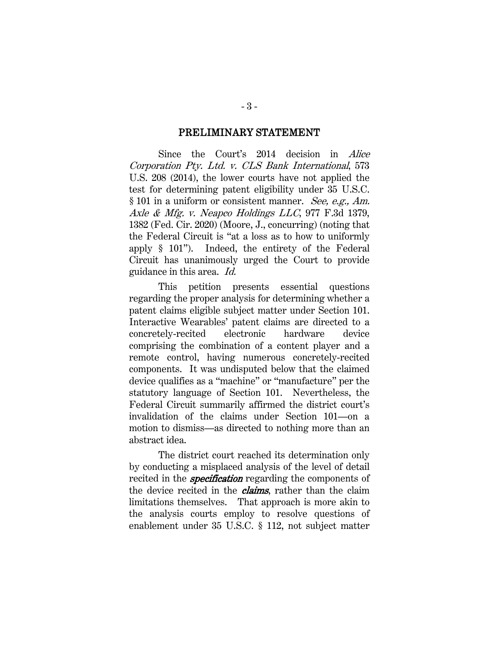#### PRELIMINARY STATEMENT

<span id="page-10-0"></span>Since the Court's 2014 decision in Alice Corporation Pty. Ltd. v. CLS Bank International, 573 U.S. 208 (2014), the lower courts have not applied the test for determining patent eligibility under 35 U.S.C. § 101 in a uniform or consistent manner. See, e.g., Am. Axle & Mfg. v. Neapco Holdings LLC, 977 F.3d 1379, 1382 (Fed. Cir. 2020) (Moore, J., concurring) (noting that the Federal Circuit is "at a loss as to how to uniformly apply § 101"). Indeed, the entirety of the Federal Circuit has unanimously urged the Court to provide guidance in this area. Id.

This petition presents essential questions regarding the proper analysis for determining whether a patent claims eligible subject matter under Section 101. Interactive Wearables' patent claims are directed to a concretely-recited electronic hardware device comprising the combination of a content player and a remote control, having numerous concretely-recited components. It was undisputed below that the claimed device qualifies as a "machine" or "manufacture" per the statutory language of Section 101. Nevertheless, the Federal Circuit summarily affirmed the district court's invalidation of the claims under Section 101—on a motion to dismiss—as directed to nothing more than an abstract idea.

The district court reached its determination only by conducting a misplaced analysis of the level of detail recited in the **specification** regarding the components of the device recited in the *claims*, rather than the claim limitations themselves. That approach is more akin to the analysis courts employ to resolve questions of enablement under 35 U.S.C. § 112, not subject matter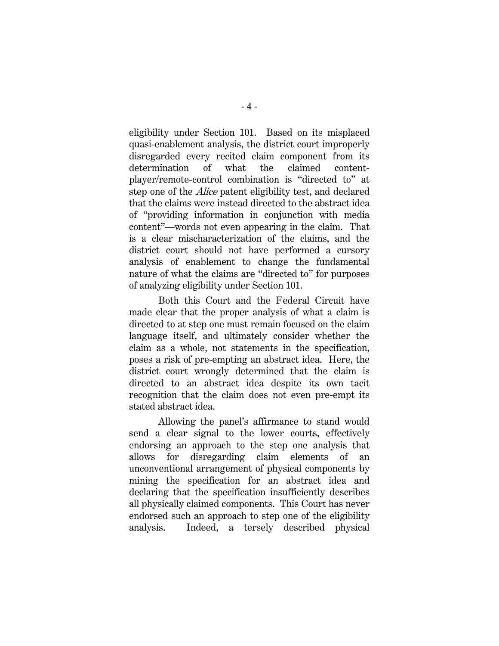eligibility under Section 101. Based on its misplaced quasi-enablement analysis, the district court improperly disregarded every recited claim component from its determination of what the claimed contentplayer/remote-control combination is "directed to" at step one of the Alice patent eligibility test, and declared that the claims were instead directed to the abstract idea of "providing information in conjunction with media content"—words not even appearing in the claim. That is a clear mischaracterization of the claims, and the district court should not have performed a cursory analysis of enablement to change the fundamental nature of what the claims are "directed to" for purposes of analyzing eligibility under Section 101.

Both this Court and the Federal Circuit have made clear that the proper analysis of what a claim is directed to at step one must remain focused on the claim language itself, and ultimately consider whether the claim as a whole, not statements in the specification, poses a risk of pre-empting an abstract idea. Here, the district court wrongly determined that the claim is directed to an abstract idea despite its own tacit recognition that the claim does not even pre-empt its stated abstract idea.

Allowing the panel's affirmance to stand would send a clear signal to the lower courts, effectively endorsing an approach to the step one analysis that allows for disregarding claim elements of an unconventional arrangement of physical components by mining the specification for an abstract idea and declaring that the specification insufficiently describes all physically claimed components. This Court has never endorsed such an approach to step one of the eligibility analysis. Indeed, a tersely described physical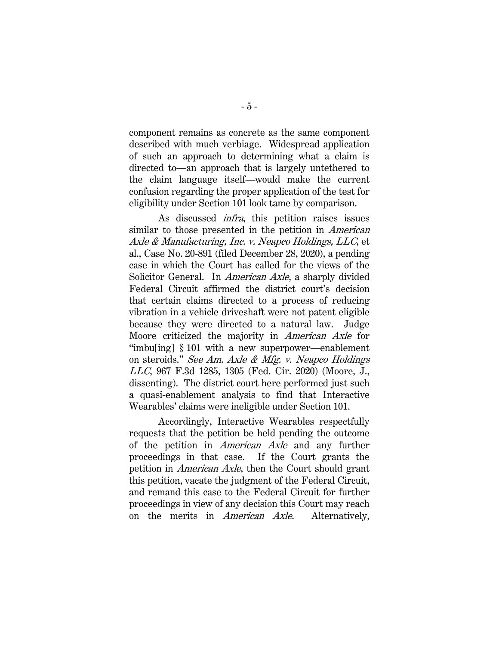component remains as concrete as the same component described with much verbiage. Widespread application of such an approach to determining what a claim is directed to—an approach that is largely untethered to the claim language itself—would make the current confusion regarding the proper application of the test for eligibility under Section 101 look tame by comparison.

As discussed infra, this petition raises issues similar to those presented in the petition in *American* Axle & Manufacturing, Inc. v. Neapco Holdings, LLC, et al., Case No. 20-891 (filed December 28, 2020), a pending case in which the Court has called for the views of the Solicitor General. In *American Axle*, a sharply divided Federal Circuit affirmed the district court's decision that certain claims directed to a process of reducing vibration in a vehicle driveshaft were not patent eligible because they were directed to a natural law. Judge Moore criticized the majority in American Axle for "imbu[ing] § 101 with a new superpower—enablement on steroids." See Am. Axle & Mfg. v. Neapco Holdings LLC, 967 F.3d 1285, 1305 (Fed. Cir. 2020) (Moore, J., dissenting). The district court here performed just such a quasi-enablement analysis to find that Interactive Wearables' claims were ineligible under Section 101.

Accordingly, Interactive Wearables respectfully requests that the petition be held pending the outcome of the petition in American Axle and any further proceedings in that case. If the Court grants the petition in American Axle, then the Court should grant this petition, vacate the judgment of the Federal Circuit, and remand this case to the Federal Circuit for further proceedings in view of any decision this Court may reach on the merits in American Axle. Alternatively,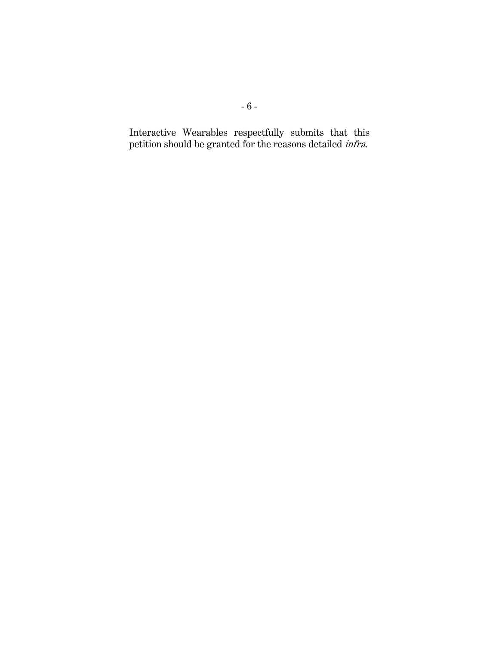Interactive Wearables respectfully submits that this petition should be granted for the reasons detailed infra.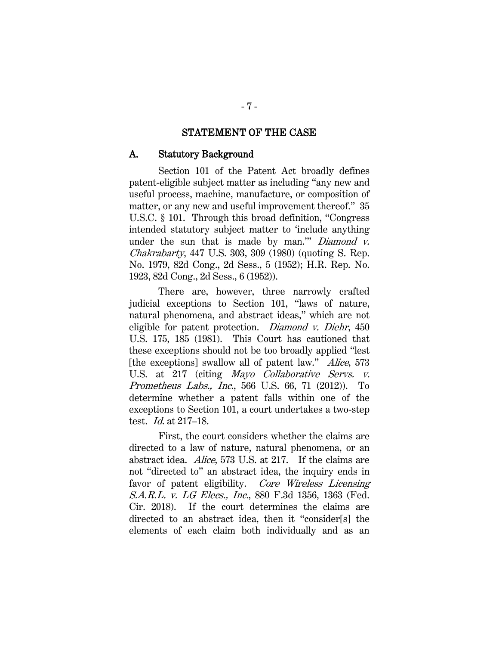#### STATEMENT OF THE CASE

#### <span id="page-14-1"></span><span id="page-14-0"></span>A. Statutory Background

Section 101 of the Patent Act broadly defines patent-eligible subject matter as including "any new and useful process, machine, manufacture, or composition of matter, or any new and useful improvement thereof." 35 U.S.C. § 101. Through this broad definition, "Congress intended statutory subject matter to 'include anything under the sun that is made by man." Diamond  $v$ . Chakrabarty, 447 U.S. 303, 309 (1980) (quoting S. Rep. No. 1979, 82d Cong., 2d Sess., 5 (1952); H.R. Rep. No. 1923, 82d Cong., 2d Sess., 6 (1952)).

There are, however, three narrowly crafted judicial exceptions to Section 101, "laws of nature, natural phenomena, and abstract ideas," which are not eligible for patent protection. Diamond v. Diehr, 450 U.S. 175, 185 (1981). This Court has cautioned that these exceptions should not be too broadly applied "lest [the exceptions] swallow all of patent law." *Alice*, 573 U.S. at 217 (citing *Mayo Collaborative Servs. v.* Prometheus Labs., Inc., 566 U.S. 66, 71 (2012)). To determine whether a patent falls within one of the exceptions to Section 101, a court undertakes a two-step test. Id. at 217–18.

First, the court considers whether the claims are directed to a law of nature, natural phenomena, or an abstract idea. Alice, 573 U.S. at 217. If the claims are not "directed to" an abstract idea, the inquiry ends in favor of patent eligibility. Core Wireless Licensing S.A.R.L. v. LG Elecs., Inc., 880 F.3d 1356, 1363 (Fed. Cir. 2018). If the court determines the claims are directed to an abstract idea, then it "consider[s] the elements of each claim both individually and as an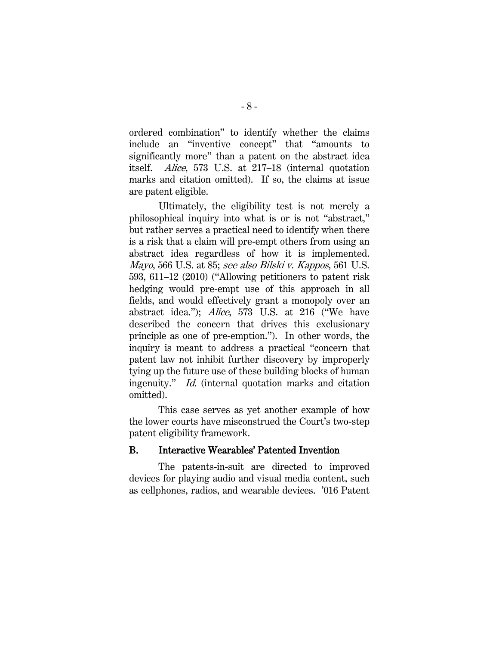ordered combination" to identify whether the claims include an "inventive concept" that "amounts to significantly more" than a patent on the abstract idea itself. Alice, 573 U.S. at 217–18 (internal quotation marks and citation omitted). If so, the claims at issue are patent eligible.

Ultimately, the eligibility test is not merely a philosophical inquiry into what is or is not "abstract," but rather serves a practical need to identify when there is a risk that a claim will pre-empt others from using an abstract idea regardless of how it is implemented. Mayo, 566 U.S. at 85; see also Bilski v. Kappos, 561 U.S. 593, 611–12 (2010) ("Allowing petitioners to patent risk hedging would pre-empt use of this approach in all fields, and would effectively grant a monopoly over an abstract idea."); Alice, 573 U.S. at 216 ("We have described the concern that drives this exclusionary principle as one of pre-emption."). In other words, the inquiry is meant to address a practical "concern that patent law not inhibit further discovery by improperly tying up the future use of these building blocks of human ingenuity." Id. (internal quotation marks and citation omitted).

This case serves as yet another example of how the lower courts have misconstrued the Court's two-step patent eligibility framework.

#### <span id="page-15-0"></span>B. Interactive Wearables' Patented Invention

The patents-in-suit are directed to improved devices for playing audio and visual media content, such as cellphones, radios, and wearable devices. '016 Patent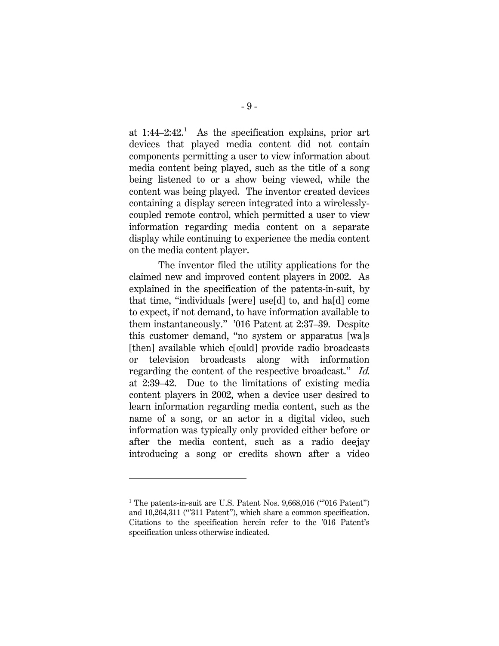at  $1:44-2:42$  $1:44-2:42$ <sup>1</sup> As the specification explains, prior art devices that played media content did not contain components permitting a user to view information about media content being played, such as the title of a song being listened to or a show being viewed, while the content was being played. The inventor created devices containing a display screen integrated into a wirelesslycoupled remote control, which permitted a user to view information regarding media content on a separate display while continuing to experience the media content on the media content player.

The inventor filed the utility applications for the claimed new and improved content players in 2002. As explained in the specification of the patents-in-suit, by that time, "individuals [were] use[d] to, and ha[d] come to expect, if not demand, to have information available to them instantaneously." '016 Patent at 2:37–39. Despite this customer demand, "no system or apparatus [wa]s [then] available which c[ould] provide radio broadcasts or television broadcasts along with information regarding the content of the respective broadcast." Id. at 2:39–42. Due to the limitations of existing media content players in 2002, when a device user desired to learn information regarding media content, such as the name of a song, or an actor in a digital video, such information was typically only provided either before or after the media content, such as a radio deejay introducing a song or credits shown after a video

<span id="page-16-0"></span><sup>&</sup>lt;sup>1</sup> The patents-in-suit are U.S. Patent Nos. 9,668,016 ("016 Patent") and 10,264,311 ("311 Patent"), which share a common specification. Citations to the specification herein refer to the '016 Patent's specification unless otherwise indicated.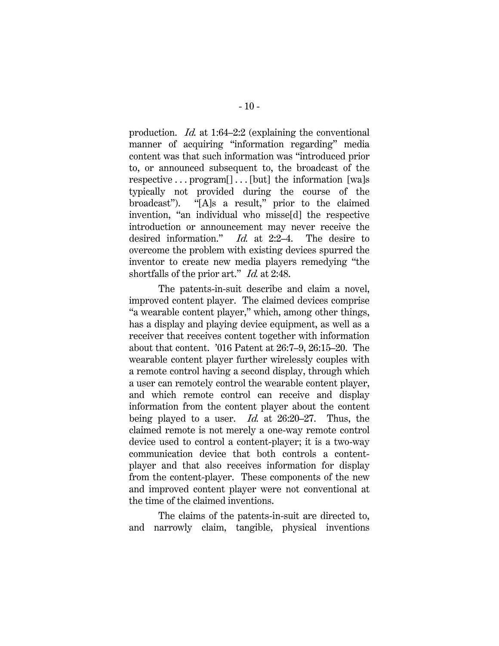production. Id. at 1:64–2:2 (explaining the conventional manner of acquiring "information regarding" media content was that such information was "introduced prior to, or announced subsequent to, the broadcast of the respective . . . program[] . . . [but] the information [wa]s typically not provided during the course of the broadcast"). "[A]s a result," prior to the claimed invention, "an individual who misse[d] the respective introduction or announcement may never receive the desired information." Id. at 2:2–4. The desire to overcome the problem with existing devices spurred the inventor to create new media players remedying "the shortfalls of the prior art." *Id.* at 2:48.

The patents-in-suit describe and claim a novel, improved content player. The claimed devices comprise "a wearable content player," which, among other things, has a display and playing device equipment, as well as a receiver that receives content together with information about that content. '016 Patent at 26:7–9, 26:15–20. The wearable content player further wirelessly couples with a remote control having a second display, through which a user can remotely control the wearable content player, and which remote control can receive and display information from the content player about the content being played to a user. Id. at 26:20–27. Thus, the claimed remote is not merely a one-way remote control device used to control a content-player; it is a two-way communication device that both controls a contentplayer and that also receives information for display from the content-player. These components of the new and improved content player were not conventional at the time of the claimed inventions.

The claims of the patents-in-suit are directed to, and narrowly claim, tangible, physical inventions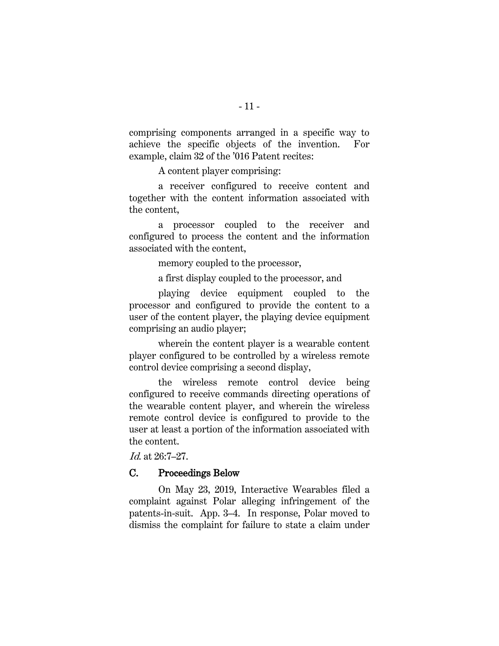comprising components arranged in a specific way to achieve the specific objects of the invention. For example, claim 32 of the '016 Patent recites:

A content player comprising:

a receiver configured to receive content and together with the content information associated with the content,

a processor coupled to the receiver and configured to process the content and the information associated with the content,

memory coupled to the processor,

a first display coupled to the processor, and

playing device equipment coupled to the processor and configured to provide the content to a user of the content player, the playing device equipment comprising an audio player;

wherein the content player is a wearable content player configured to be controlled by a wireless remote control device comprising a second display,

the wireless remote control device being configured to receive commands directing operations of the wearable content player, and wherein the wireless remote control device is configured to provide to the user at least a portion of the information associated with the content.

Id. at 26:7–27.

#### <span id="page-18-0"></span>C. Proceedings Below

On May 23, 2019, Interactive Wearables filed a complaint against Polar alleging infringement of the patents-in-suit. App. 3–4. In response, Polar moved to dismiss the complaint for failure to state a claim under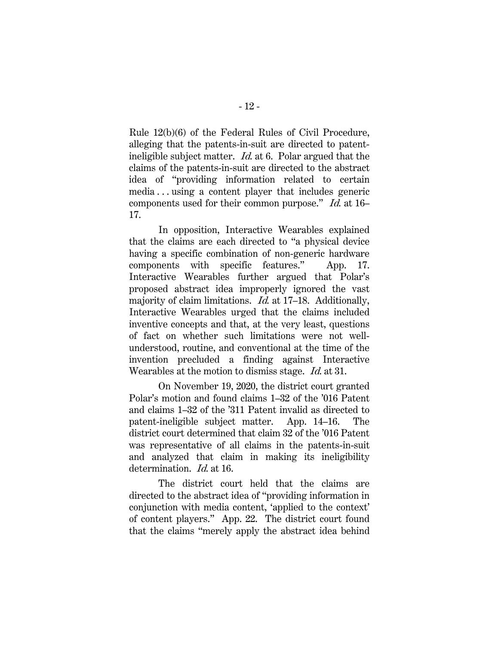Rule 12(b)(6) of the Federal Rules of Civil Procedure, alleging that the patents-in-suit are directed to patentineligible subject matter. Id. at 6. Polar argued that the claims of the patents-in-suit are directed to the abstract idea of "providing information related to certain media . . . using a content player that includes generic components used for their common purpose." Id. at 16– 17.

In opposition, Interactive Wearables explained that the claims are each directed to "a physical device having a specific combination of non-generic hardware components with specific features." App. 17. Interactive Wearables further argued that Polar's proposed abstract idea improperly ignored the vast majority of claim limitations. Id. at 17–18. Additionally, Interactive Wearables urged that the claims included inventive concepts and that, at the very least, questions of fact on whether such limitations were not wellunderstood, routine, and conventional at the time of the invention precluded a finding against Interactive Wearables at the motion to dismiss stage. Id. at 31.

On November 19, 2020, the district court granted Polar's motion and found claims 1–32 of the '016 Patent and claims 1–32 of the '311 Patent invalid as directed to patent-ineligible subject matter. App. 14–16. The district court determined that claim 32 of the '016 Patent was representative of all claims in the patents-in-suit and analyzed that claim in making its ineligibility determination. *Id.* at 16.

The district court held that the claims are directed to the abstract idea of "providing information in conjunction with media content, 'applied to the context' of content players." App. 22. The district court found that the claims "merely apply the abstract idea behind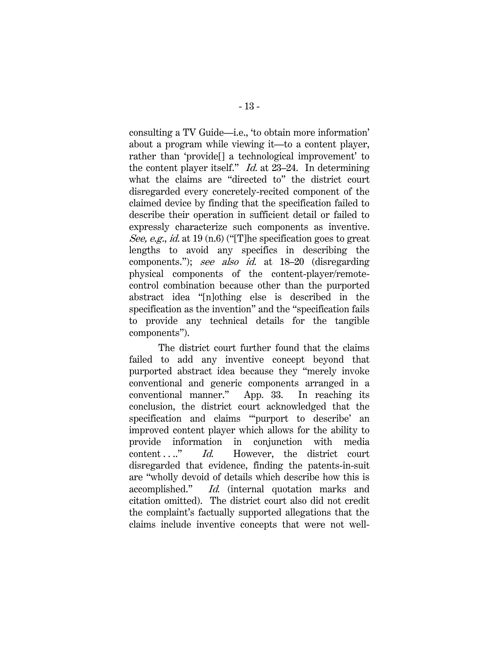consulting a TV Guide—i.e., 'to obtain more information' about a program while viewing it—to a content player, rather than 'provide[] a technological improvement' to the content player itself." Id. at 23–24. In determining what the claims are "directed to" the district court disregarded every concretely-recited component of the claimed device by finding that the specification failed to describe their operation in sufficient detail or failed to expressly characterize such components as inventive. See, e.g., id. at 19 (n.6) ("The specification goes to great lengths to avoid any specifics in describing the components."); see also id. at 18–20 (disregarding physical components of the content-player/remotecontrol combination because other than the purported abstract idea "[n]othing else is described in the specification as the invention" and the "specification fails to provide any technical details for the tangible components").

The district court further found that the claims failed to add any inventive concept beyond that purported abstract idea because they "merely invoke conventional and generic components arranged in a conventional manner." App. 33. In reaching its conclusion, the district court acknowledged that the specification and claims "'purport to describe' an improved content player which allows for the ability to provide information in conjunction with media content . . .." *Id.* However, the district court disregarded that evidence, finding the patents-in-suit are "wholly devoid of details which describe how this is accomplished." Id. (internal quotation marks and citation omitted). The district court also did not credit the complaint's factually supported allegations that the claims include inventive concepts that were not well-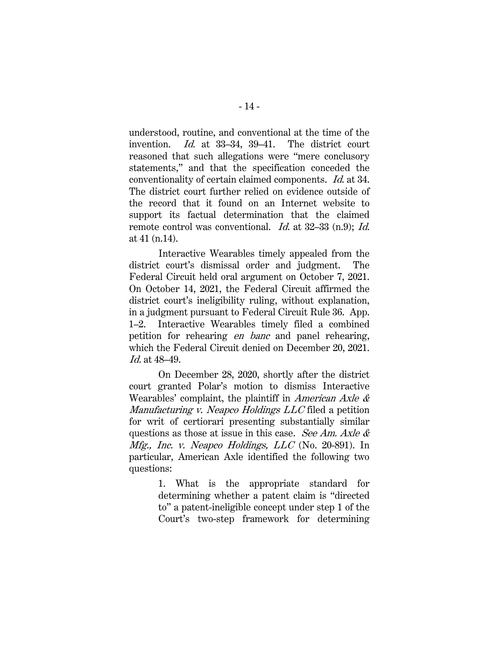understood, routine, and conventional at the time of the invention. Id. at 33–34, 39–41. The district court reasoned that such allegations were "mere conclusory statements," and that the specification conceded the conventionality of certain claimed components. Id. at 34. The district court further relied on evidence outside of the record that it found on an Internet website to support its factual determination that the claimed remote control was conventional. *Id.* at 32–33 (n.9); *Id.* at 41 (n.14).

Interactive Wearables timely appealed from the district court's dismissal order and judgment. The Federal Circuit held oral argument on October 7, 2021. On October 14, 2021, the Federal Circuit affirmed the district court's ineligibility ruling, without explanation, in a judgment pursuant to Federal Circuit Rule 36. App. 1–2. Interactive Wearables timely filed a combined petition for rehearing en banc and panel rehearing, which the Federal Circuit denied on December 20, 2021. Id. at 48–49.

On December 28, 2020, shortly after the district court granted Polar's motion to dismiss Interactive Wearables' complaint, the plaintiff in *American Axle &* Manufacturing v. Neapco Holdings LLC filed a petition for writ of certiorari presenting substantially similar questions as those at issue in this case. See Am. Axle  $\&$ *Mfg., Inc. v. Neapco Holdings, LLC* (No. 20-891). In particular, American Axle identified the following two questions:

> 1. What is the appropriate standard for determining whether a patent claim is "directed to" a patent-ineligible concept under step 1 of the Court's two-step framework for determining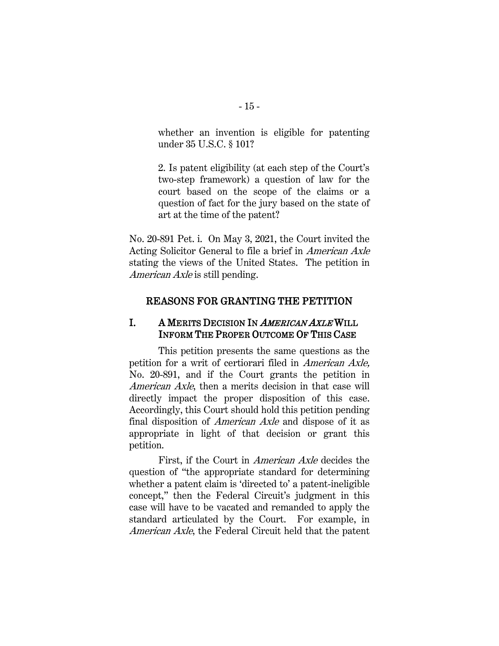whether an invention is eligible for patenting under 35 U.S.C. § 101?

2. Is patent eligibility (at each step of the Court's two-step framework) a question of law for the court based on the scope of the claims or a question of fact for the jury based on the state of art at the time of the patent?

No. 20-891 Pet. i. On May 3, 2021, the Court invited the Acting Solicitor General to file a brief in American Axle stating the views of the United States. The petition in American Axle is still pending.

#### <span id="page-22-0"></span>REASONS FOR GRANTING THE PETITION

### <span id="page-22-1"></span>I. A MERITS DECISION IN AMERICAN AXLE WILL INFORM THE PROPER OUTCOME OF THIS CASE

This petition presents the same questions as the petition for a writ of certiorari filed in American Axle, No. 20-891, and if the Court grants the petition in American Axle, then a merits decision in that case will directly impact the proper disposition of this case. Accordingly, this Court should hold this petition pending final disposition of American Axle and dispose of it as appropriate in light of that decision or grant this petition.

First, if the Court in American Axle decides the question of "the appropriate standard for determining whether a patent claim is 'directed to' a patent-ineligible concept," then the Federal Circuit's judgment in this case will have to be vacated and remanded to apply the standard articulated by the Court. For example, in American Axle, the Federal Circuit held that the patent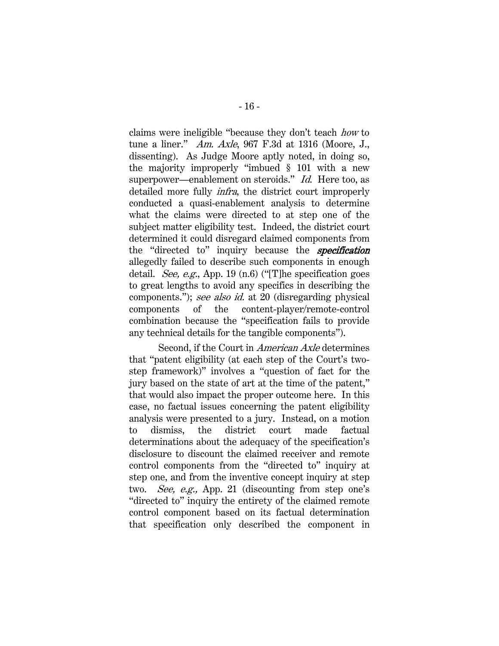claims were ineligible "because they don't teach how to tune a liner." Am. Axle, 967 F.3d at 1316 (Moore, J., dissenting). As Judge Moore aptly noted, in doing so, the majority improperly "imbued § 101 with a new superpower—enablement on steroids." Id. Here too, as detailed more fully *infra*, the district court improperly conducted a quasi-enablement analysis to determine what the claims were directed to at step one of the subject matter eligibility test. Indeed, the district court determined it could disregard claimed components from the "directed to" inquiry because the **specification** allegedly failed to describe such components in enough detail. See, e.g., App. 19 (n.6) ("[T]he specification goes to great lengths to avoid any specifics in describing the components."); see also id. at 20 (disregarding physical components of the content-player/remote-control combination because the "specification fails to provide any technical details for the tangible components").

Second, if the Court in American Axle determines that "patent eligibility (at each step of the Court's twostep framework)" involves a "question of fact for the jury based on the state of art at the time of the patent," that would also impact the proper outcome here. In this case, no factual issues concerning the patent eligibility analysis were presented to a jury. Instead, on a motion to dismiss, the district court made factual determinations about the adequacy of the specification's disclosure to discount the claimed receiver and remote control components from the "directed to" inquiry at step one, and from the inventive concept inquiry at step two. See, e.g., App. 21 (discounting from step one's "directed to" inquiry the entirety of the claimed remote control component based on its factual determination that specification only described the component in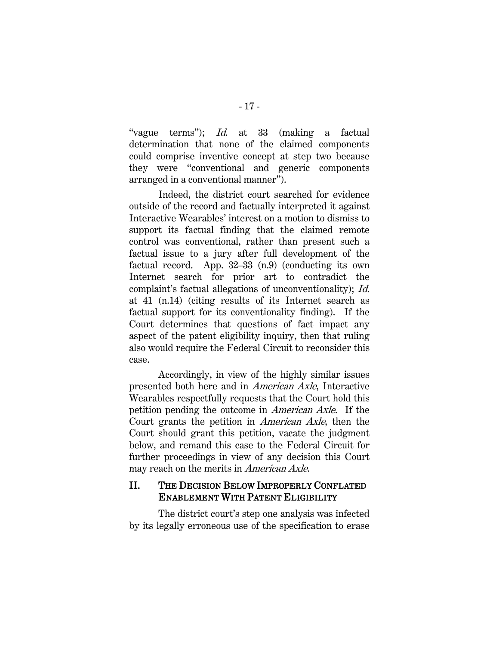"vague terms"); *Id.* at 33 (making a factual determination that none of the claimed components could comprise inventive concept at step two because they were "conventional and generic components arranged in a conventional manner").

Indeed, the district court searched for evidence outside of the record and factually interpreted it against Interactive Wearables' interest on a motion to dismiss to support its factual finding that the claimed remote control was conventional, rather than present such a factual issue to a jury after full development of the factual record. App. 32–33 (n.9) (conducting its own Internet search for prior art to contradict the complaint's factual allegations of unconventionality); Id. at 41 (n.14) (citing results of its Internet search as factual support for its conventionality finding). If the Court determines that questions of fact impact any aspect of the patent eligibility inquiry, then that ruling also would require the Federal Circuit to reconsider this case.

Accordingly, in view of the highly similar issues presented both here and in American Axle, Interactive Wearables respectfully requests that the Court hold this petition pending the outcome in American Axle. If the Court grants the petition in American Axle, then the Court should grant this petition, vacate the judgment below, and remand this case to the Federal Circuit for further proceedings in view of any decision this Court may reach on the merits in *American Axle*.

## <span id="page-24-0"></span>II. THE DECISION BELOW IMPROPERLY CONFLATED ENABLEMENT WITH PATENT ELIGIBILITY

The district court's step one analysis was infected by its legally erroneous use of the specification to erase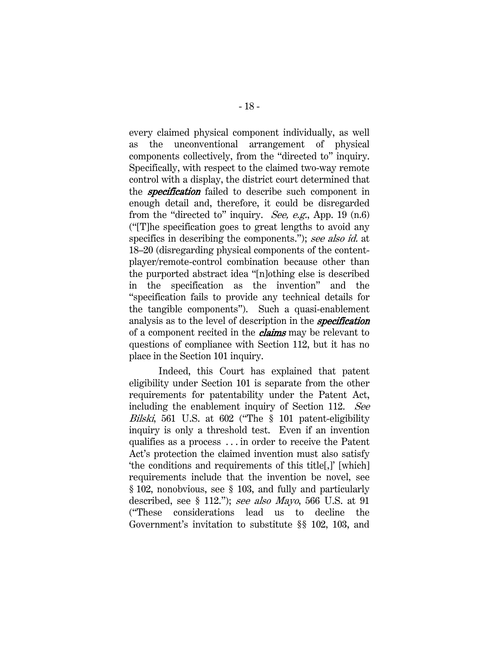every claimed physical component individually, as well as the unconventional arrangement of physical components collectively, from the "directed to" inquiry. Specifically, with respect to the claimed two-way remote control with a display, the district court determined that the **specification** failed to describe such component in enough detail and, therefore, it could be disregarded from the "directed to" inquiry. See, e.g., App. 19 (n.6) ("[T]he specification goes to great lengths to avoid any specifics in describing the components."); see also id. at 18–20 (disregarding physical components of the contentplayer/remote-control combination because other than the purported abstract idea "[n]othing else is described in the specification as the invention" and the "specification fails to provide any technical details for the tangible components"). Such a quasi-enablement analysis as to the level of description in the **specification** of a component recited in the *claims* may be relevant to questions of compliance with Section 112, but it has no place in the Section 101 inquiry.

Indeed, this Court has explained that patent eligibility under Section 101 is separate from the other requirements for patentability under the Patent Act, including the enablement inquiry of Section 112. See Bilski, 561 U.S. at 602 ("The § 101 patent-eligibility inquiry is only a threshold test. Even if an invention qualifies as a process . . . in order to receive the Patent Act's protection the claimed invention must also satisfy 'the conditions and requirements of this title[,]' [which] requirements include that the invention be novel, see § 102, nonobvious, see § 103, and fully and particularly described, see  $\S$  112."); see also Mayo, 566 U.S. at 91 ("These considerations lead us to decline the Government's invitation to substitute §§ 102, 103, and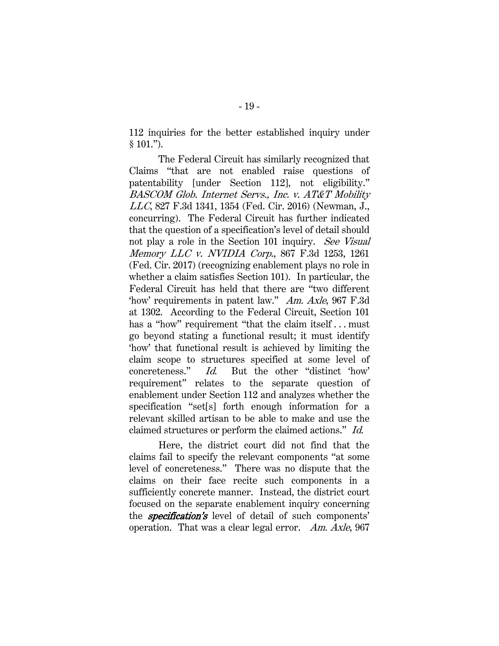112 inquiries for the better established inquiry under  $§ 101."$ ).

The Federal Circuit has similarly recognized that Claims "that are not enabled raise questions of patentability [under Section 112], not eligibility." BASCOM Glob. Internet Servs., Inc. v. AT&T Mobility LLC, 827 F.3d 1341, 1354 (Fed. Cir. 2016) (Newman, J., concurring). The Federal Circuit has further indicated that the question of a specification's level of detail should not play a role in the Section 101 inquiry. See Visual Memory LLC v. NVIDIA Corp., 867 F.3d 1253, 1261 (Fed. Cir. 2017) (recognizing enablement plays no role in whether a claim satisfies Section 101). In particular, the Federal Circuit has held that there are "two different 'how' requirements in patent law." Am. Axle, 967 F.3d at 1302. According to the Federal Circuit, Section 101 has a "how" requirement "that the claim itself...must" go beyond stating a functional result; it must identify 'how' that functional result is achieved by limiting the claim scope to structures specified at some level of concreteness." Id. But the other "distinct 'how' requirement" relates to the separate question of enablement under Section 112 and analyzes whether the specification "set[s] forth enough information for a relevant skilled artisan to be able to make and use the claimed structures or perform the claimed actions." Id.

Here, the district court did not find that the claims fail to specify the relevant components "at some level of concreteness." There was no dispute that the claims on their face recite such components in a sufficiently concrete manner. Instead, the district court focused on the separate enablement inquiry concerning the **specification's** level of detail of such components' operation. That was a clear legal error. Am. Axle, 967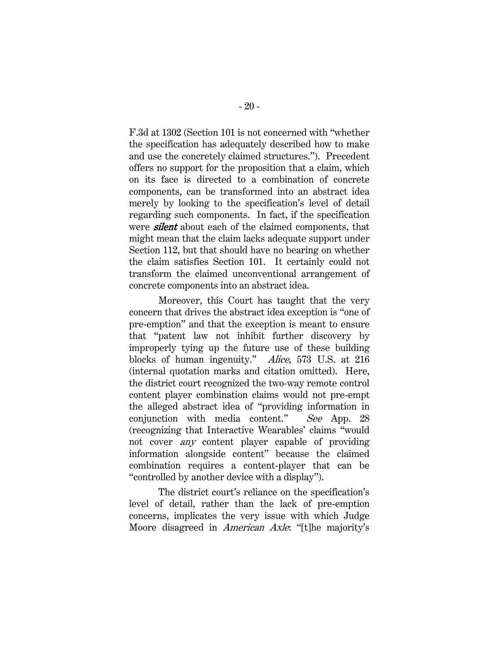F.3d at 1302 (Section 101 is not concerned with "whether the specification has adequately described how to make and use the concretely claimed structures."). Precedent offers no support for the proposition that a claim, which on its face is directed to a combination of concrete components, can be transformed into an abstract idea merely by looking to the specification's level of detail regarding such components. In fact, if the specification were **silent** about each of the claimed components, that might mean that the claim lacks adequate support under Section 112, but that should have no bearing on whether the claim satisfies Section 101. It certainly could not transform the claimed unconventional arrangement of concrete components into an abstract idea.

Moreover, this Court has taught that the very concern that drives the abstract idea exception is "one of pre-emption" and that the exception is meant to ensure that "patent law not inhibit further discovery by improperly tying up the future use of these building blocks of human ingenuity." Alice, 573 U.S. at 216 (internal quotation marks and citation omitted). Here, the district court recognized the two-way remote control content player combination claims would not pre-empt the alleged abstract idea of "providing information in conjunction with media content." See App. 28 (recognizing that Interactive Wearables' claims "would not cover any content player capable of providing information alongside content" because the claimed combination requires a content-player that can be "controlled by another device with a display").

The district court's reliance on the specification's level of detail, rather than the lack of pre-emption concerns, implicates the very issue with which Judge Moore disagreed in *American Axle*: "[t]he majority's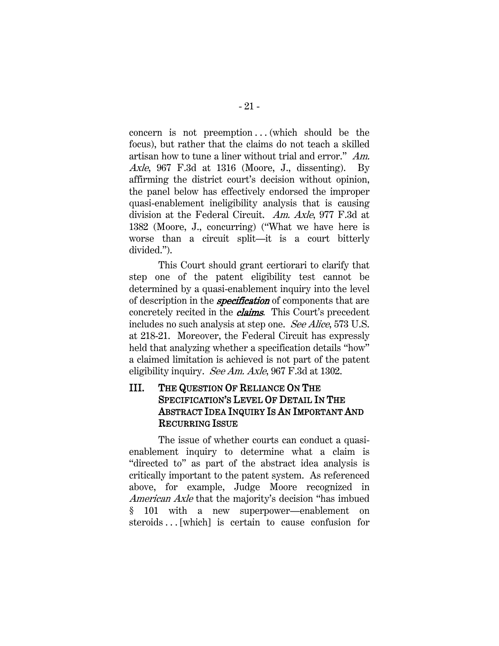concern is not preemption  $\dots$  (which should be the focus), but rather that the claims do not teach a skilled artisan how to tune a liner without trial and error." Am. Axle, 967 F.3d at 1316 (Moore, J., dissenting). By affirming the district court's decision without opinion, the panel below has effectively endorsed the improper quasi-enablement ineligibility analysis that is causing division at the Federal Circuit. Am. Axle, 977 F.3d at 1382 (Moore, J., concurring) ("What we have here is worse than a circuit split—it is a court bitterly divided.").

This Court should grant certiorari to clarify that step one of the patent eligibility test cannot be determined by a quasi-enablement inquiry into the level of description in the **specification** of components that are concretely recited in the *claims*. This Court's precedent includes no such analysis at step one. See Alice, 573 U.S. at 218-21. Moreover, the Federal Circuit has expressly held that analyzing whether a specification details "how" a claimed limitation is achieved is not part of the patent eligibility inquiry. See Am. Axle, 967 F.3d at 1302.

# <span id="page-28-0"></span>III. THE QUESTION OF RELIANCE ON THE SPECIFICATION'S LEVEL OF DETAIL IN THE ABSTRACT IDEA INQUIRY IS AN IMPORTANT AND RECURRING ISSUE

The issue of whether courts can conduct a quasienablement inquiry to determine what a claim is "directed to" as part of the abstract idea analysis is critically important to the patent system. As referenced above, for example, Judge Moore recognized in American Axle that the majority's decision "has imbued § 101 with a new superpower—enablement on steroids . . [which] is certain to cause confusion for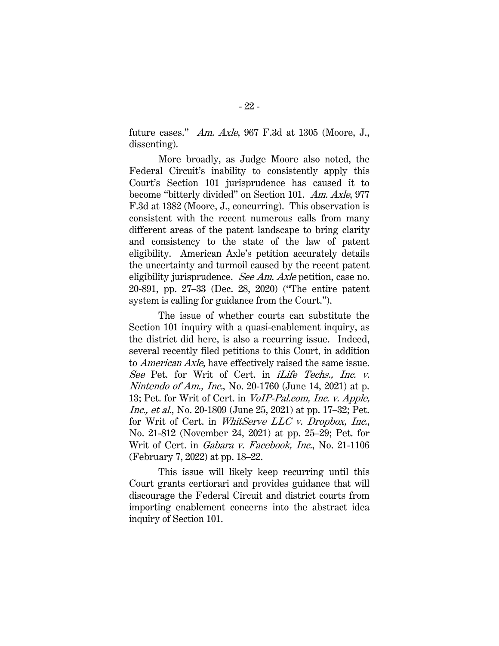future cases." Am. Axle, 967 F.3d at 1305 (Moore, J., dissenting).

More broadly, as Judge Moore also noted, the Federal Circuit's inability to consistently apply this Court's Section 101 jurisprudence has caused it to become "bitterly divided" on Section 101. Am. Axle, 977 F.3d at 1382 (Moore, J., concurring). This observation is consistent with the recent numerous calls from many different areas of the patent landscape to bring clarity and consistency to the state of the law of patent eligibility. American Axle's petition accurately details the uncertainty and turmoil caused by the recent patent eligibility jurisprudence. See Am. Axle petition, case no. 20-891, pp. 27–33 (Dec. 28, 2020) ("The entire patent system is calling for guidance from the Court.").

The issue of whether courts can substitute the Section 101 inquiry with a quasi-enablement inquiry, as the district did here, is also a recurring issue. Indeed, several recently filed petitions to this Court, in addition to American Axle, have effectively raised the same issue. See Pet. for Writ of Cert. in *iLife Techs., Inc. v.* Nintendo of Am., Inc., No. 20-1760 (June 14, 2021) at p. 13; Pet. for Writ of Cert. in VoIP-Pal.com, Inc. v. Apple, Inc., et al., No. 20-1809 (June 25, 2021) at pp. 17–32; Pet. for Writ of Cert. in WhitServe LLC v. Dropbox, Inc., No. 21-812 (November 24, 2021) at pp. 25–29; Pet. for Writ of Cert. in Gabara v. Facebook, Inc., No. 21-1106 (February 7, 2022) at pp. 18–22.

This issue will likely keep recurring until this Court grants certiorari and provides guidance that will discourage the Federal Circuit and district courts from importing enablement concerns into the abstract idea inquiry of Section 101.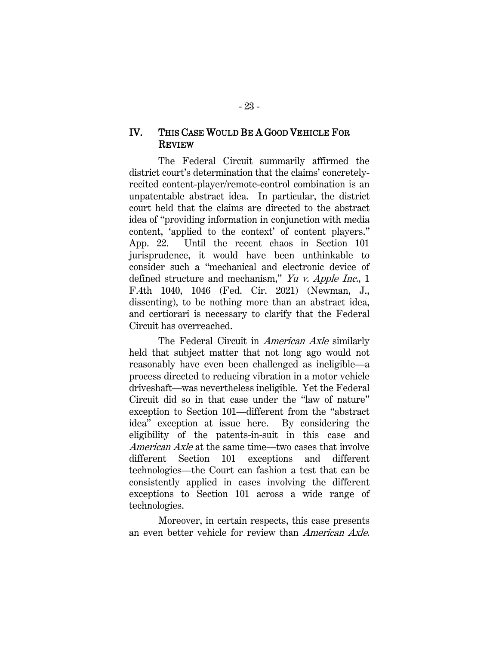### <span id="page-30-0"></span>IV. THIS CASE WOULD BE A GOOD VEHICLE FOR REVIEW

The Federal Circuit summarily affirmed the district court's determination that the claims' concretelyrecited content-player/remote-control combination is an unpatentable abstract idea. In particular, the district court held that the claims are directed to the abstract idea of "providing information in conjunction with media content, 'applied to the context' of content players." App. 22. Until the recent chaos in Section 101 jurisprudence, it would have been unthinkable to consider such a "mechanical and electronic device of defined structure and mechanism," Yu v. Apple Inc., 1 F.4th 1040, 1046 (Fed. Cir. 2021) (Newman, J., dissenting), to be nothing more than an abstract idea, and certiorari is necessary to clarify that the Federal Circuit has overreached.

The Federal Circuit in *American Axle* similarly held that subject matter that not long ago would not reasonably have even been challenged as ineligible—a process directed to reducing vibration in a motor vehicle driveshaft—was nevertheless ineligible. Yet the Federal Circuit did so in that case under the "law of nature" exception to Section 101—different from the "abstract idea" exception at issue here. By considering the eligibility of the patents-in-suit in this case and American Axle at the same time—two cases that involve different Section 101 exceptions and different technologies—the Court can fashion a test that can be consistently applied in cases involving the different exceptions to Section 101 across a wide range of technologies.

Moreover, in certain respects, this case presents an even better vehicle for review than American Axle.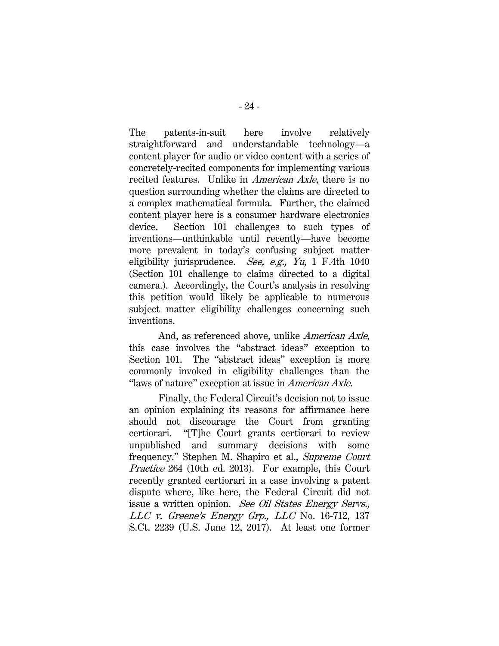The patents-in-suit here involve relatively straightforward and understandable technology—a content player for audio or video content with a series of concretely-recited components for implementing various recited features. Unlike in American Axle, there is no question surrounding whether the claims are directed to a complex mathematical formula. Further, the claimed content player here is a consumer hardware electronics device. Section 101 challenges to such types of inventions—unthinkable until recently—have become more prevalent in today's confusing subject matter eligibility jurisprudence. See, e.g., Yu, 1 F.4th 1040 (Section 101 challenge to claims directed to a digital camera.). Accordingly, the Court's analysis in resolving this petition would likely be applicable to numerous subject matter eligibility challenges concerning such inventions.

And, as referenced above, unlike American Axle, this case involves the "abstract ideas" exception to Section 101. The "abstract ideas" exception is more commonly invoked in eligibility challenges than the "laws of nature" exception at issue in *American Axle*.

Finally, the Federal Circuit's decision not to issue an opinion explaining its reasons for affirmance here should not discourage the Court from granting certiorari. "[T]he Court grants certiorari to review unpublished and summary decisions with some frequency." Stephen M. Shapiro et al., Supreme Court Practice 264 (10th ed. 2013). For example, this Court recently granted certiorari in a case involving a patent dispute where, like here, the Federal Circuit did not issue a written opinion. See Oil States Energy Servs., LLC v. Greene's Energy Grp., LLC No. 16-712, 137 S.Ct. 2239 (U.S. June 12, 2017). At least one former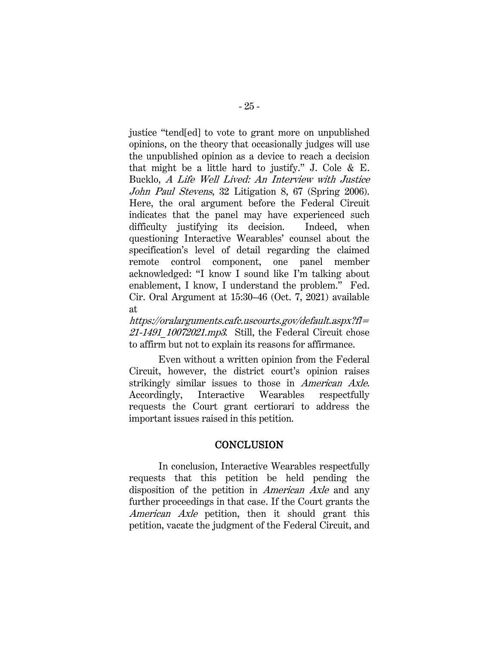justice "tend[ed] to vote to grant more on unpublished opinions, on the theory that occasionally judges will use the unpublished opinion as a device to reach a decision that might be a little hard to justify." J. Cole & E. Bucklo, A Life Well Lived: An Interview with Justice John Paul Stevens, 32 Litigation 8, 67 (Spring 2006). Here, the oral argument before the Federal Circuit indicates that the panel may have experienced such difficulty justifying its decision. Indeed, when questioning Interactive Wearables' counsel about the specification's level of detail regarding the claimed remote control component, one panel member acknowledged: "I know I sound like I'm talking about enablement, I know, I understand the problem." Fed. Cir. Oral Argument at 15:30–46 (Oct. 7, 2021) available at

https://oralarguments.cafc.uscourts.gov/default.aspx?fl= 21-1491 10072021.mp3. Still, the Federal Circuit chose to affirm but not to explain its reasons for affirmance.

Even without a written opinion from the Federal Circuit, however, the district court's opinion raises strikingly similar issues to those in American Axle. Accordingly, Interactive Wearables respectfully requests the Court grant certiorari to address the important issues raised in this petition.

#### **CONCLUSION**

<span id="page-32-0"></span>In conclusion, Interactive Wearables respectfully requests that this petition be held pending the disposition of the petition in American Axle and any further proceedings in that case. If the Court grants the American Axle petition, then it should grant this petition, vacate the judgment of the Federal Circuit, and